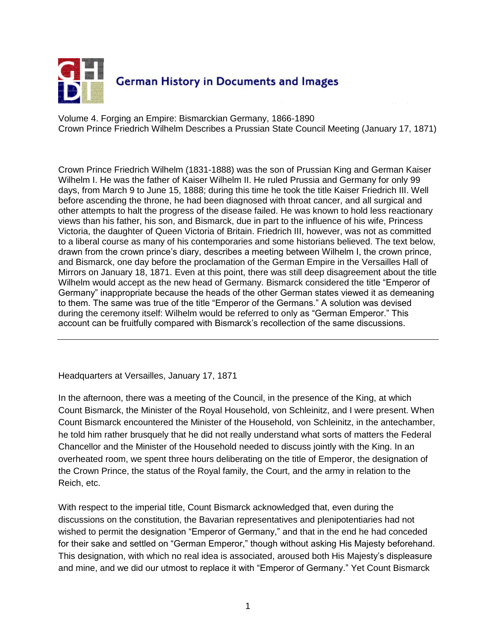

Volume 4. Forging an Empire: Bismarckian Germany, 1866-1890 Crown Prince Friedrich Wilhelm Describes a Prussian State Council Meeting (January 17, 1871)

Crown Prince Friedrich Wilhelm (1831-1888) was the son of Prussian King and German Kaiser Wilhelm I. He was the father of Kaiser Wilhelm II. He ruled Prussia and Germany for only 99 days, from March 9 to June 15, 1888; during this time he took the title Kaiser Friedrich III. Well before ascending the throne, he had been diagnosed with throat cancer, and all surgical and other attempts to halt the progress of the disease failed. He was known to hold less reactionary views than his father, his son, and Bismarck, due in part to the influence of his wife, Princess Victoria, the daughter of Queen Victoria of Britain. Friedrich III, however, was not as committed to a liberal course as many of his contemporaries and some historians believed. The text below, drawn from the crown prince's diary, describes a meeting between Wilhelm I, the crown prince, and Bismarck, one day before the proclamation of the German Empire in the Versailles Hall of Mirrors on January 18, 1871. Even at this point, there was still deep disagreement about the title Wilhelm would accept as the new head of Germany. Bismarck considered the title "Emperor of Germany" inappropriate because the heads of the other German states viewed it as demeaning to them. The same was true of the title "Emperor of the Germans." A solution was devised during the ceremony itself: Wilhelm would be referred to only as "German Emperor." This account can be fruitfully compared with Bismarck's recollection of the same discussions.

Headquarters at Versailles, January 17, 1871

In the afternoon, there was a meeting of the Council, in the presence of the King, at which Count Bismarck, the Minister of the Royal Household, von Schleinitz, and I were present. When Count Bismarck encountered the Minister of the Household, von Schleinitz, in the antechamber, he told him rather brusquely that he did not really understand what sorts of matters the Federal Chancellor and the Minister of the Household needed to discuss jointly with the King. In an overheated room, we spent three hours deliberating on the title of Emperor, the designation of the Crown Prince, the status of the Royal family, the Court, and the army in relation to the Reich, etc.

With respect to the imperial title, Count Bismarck acknowledged that, even during the discussions on the constitution, the Bavarian representatives and plenipotentiaries had not wished to permit the designation "Emperor of Germany," and that in the end he had conceded for their sake and settled on "German Emperor," though without asking His Majesty beforehand. This designation, with which no real idea is associated, aroused both His Majesty's displeasure and mine, and we did our utmost to replace it with "Emperor of Germany." Yet Count Bismarck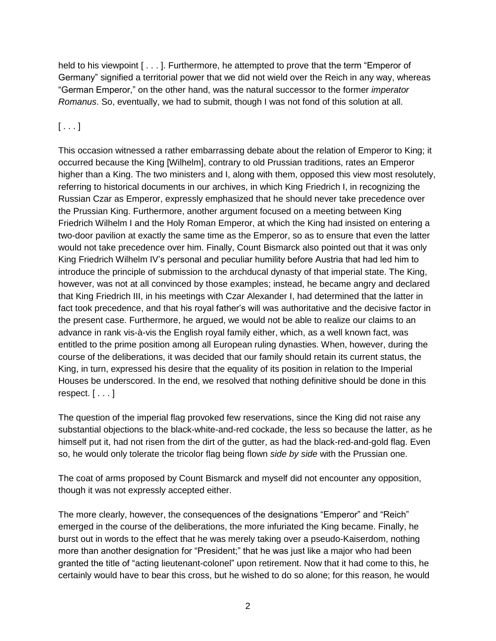held to his viewpoint [ . . . ]. Furthermore, he attempted to prove that the term "Emperor of Germany" signified a territorial power that we did not wield over the Reich in any way, whereas "German Emperor," on the other hand, was the natural successor to the former *imperator Romanus*. So, eventually, we had to submit, though I was not fond of this solution at all.

## $[\ldots]$

This occasion witnessed a rather embarrassing debate about the relation of Emperor to King; it occurred because the King [Wilhelm], contrary to old Prussian traditions, rates an Emperor higher than a King. The two ministers and I, along with them, opposed this view most resolutely, referring to historical documents in our archives, in which King Friedrich I, in recognizing the Russian Czar as Emperor, expressly emphasized that he should never take precedence over the Prussian King. Furthermore, another argument focused on a meeting between King Friedrich Wilhelm I and the Holy Roman Emperor, at which the King had insisted on entering a two-door pavilion at exactly the same time as the Emperor, so as to ensure that even the latter would not take precedence over him. Finally, Count Bismarck also pointed out that it was only King Friedrich Wilhelm IV's personal and peculiar humility before Austria that had led him to introduce the principle of submission to the archducal dynasty of that imperial state. The King, however, was not at all convinced by those examples; instead, he became angry and declared that King Friedrich III, in his meetings with Czar Alexander I, had determined that the latter in fact took precedence, and that his royal father's will was authoritative and the decisive factor in the present case. Furthermore, he argued, we would not be able to realize our claims to an advance in rank vis-à-vis the English royal family either, which, as a well known fact, was entitled to the prime position among all European ruling dynasties. When, however, during the course of the deliberations, it was decided that our family should retain its current status, the King, in turn, expressed his desire that the equality of its position in relation to the Imperial Houses be underscored. In the end, we resolved that nothing definitive should be done in this respect.  $[\ldots]$ 

The question of the imperial flag provoked few reservations, since the King did not raise any substantial objections to the black-white-and-red cockade, the less so because the latter, as he himself put it, had not risen from the dirt of the gutter, as had the black-red-and-gold flag. Even so, he would only tolerate the tricolor flag being flown *side by side* with the Prussian one.

The coat of arms proposed by Count Bismarck and myself did not encounter any opposition, though it was not expressly accepted either.

The more clearly, however, the consequences of the designations "Emperor" and "Reich" emerged in the course of the deliberations, the more infuriated the King became. Finally, he burst out in words to the effect that he was merely taking over a pseudo-Kaiserdom, nothing more than another designation for "President;" that he was just like a major who had been granted the title of "acting lieutenant-colonel" upon retirement. Now that it had come to this, he certainly would have to bear this cross, but he wished to do so alone; for this reason, he would